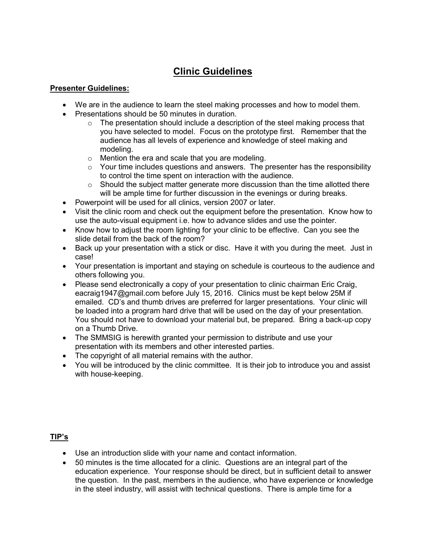## **Clinic Guidelines**

## **Presenter Guidelines:**

- We are in the audience to learn the steel making processes and how to model them.
- Presentations should be 50 minutes in duration.
	- $\circ$  The presentation should include a description of the steel making process that you have selected to model. Focus on the prototype first. Remember that the audience has all levels of experience and knowledge of steel making and modeling.
	- o Mention the era and scale that you are modeling.
	- $\circ$  Your time includes questions and answers. The presenter has the responsibility to control the time spent on interaction with the audience.
	- $\circ$  Should the subject matter generate more discussion than the time allotted there will be ample time for further discussion in the evenings or during breaks.
- Powerpoint will be used for all clinics, version 2007 or later.
- Visit the clinic room and check out the equipment before the presentation. Know how to use the auto-visual equipment i.e. how to advance slides and use the pointer.
- Know how to adjust the room lighting for your clinic to be effective. Can you see the slide detail from the back of the room?
- Back up your presentation with a stick or disc. Have it with you during the meet. Just in case!
- Your presentation is important and staying on schedule is courteous to the audience and others following you.
- Please send electronically a copy of your presentation to clinic chairman Eric Craig, eacraig1947@gmail.com before July 15, 2016. Clinics must be kept below 25M if emailed. CD's and thumb drives are preferred for larger presentations. Your clinic will be loaded into a program hard drive that will be used on the day of your presentation. You should not have to download your material but, be prepared. Bring a back-up copy on a Thumb Drive.
- The SMMSIG is herewith granted your permission to distribute and use your presentation with its members and other interested parties.
- The copyright of all material remains with the author.
- You will be introduced by the clinic committee. It is their job to introduce you and assist with house-keeping.

## **TIP's**

- Use an introduction slide with your name and contact information.
- 50 minutes is the time allocated for a clinic. Questions are an integral part of the education experience. Your response should be direct, but in sufficient detail to answer the question. In the past, members in the audience, who have experience or knowledge in the steel industry, will assist with technical questions. There is ample time for a